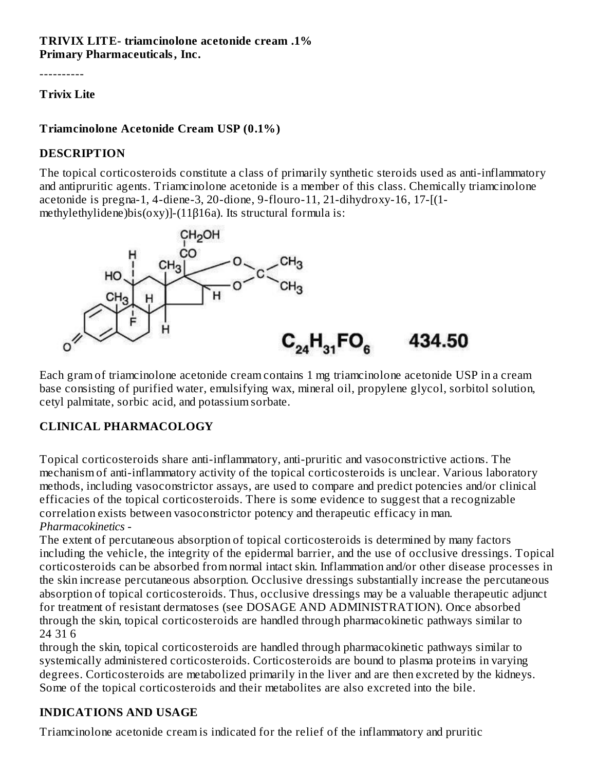### **TRIVIX LITE- triamcinolone acetonide cream .1% Primary Pharmaceuticals, Inc.**

----------

#### **Trivix Lite**

## **Triamcinolone Acetonide Cream USP (0.1%)**

### **DESCRIPTION**

The topical corticosteroids constitute a class of primarily synthetic steroids used as anti-inflammatory and antipruritic agents. Triamcinolone acetonide is a member of this class. Chemically triamcinolone acetonide is pregna-1, 4-diene-3, 20-dione, 9-flouro-11, 21-dihydroxy-16, 17-[(1 methylethylidene)bis(oxy)]-(11β16a). Its structural formula is:



Each gram of triamcinolone acetonide cream contains 1 mg triamcinolone acetonide USP in a cream base consisting of purified water, emulsifying wax, mineral oil, propylene glycol, sorbitol solution, cetyl palmitate, sorbic acid, and potassium sorbate.

### **CLINICAL PHARMACOLOGY**

Topical corticosteroids share anti-inflammatory, anti-pruritic and vasoconstrictive actions. The mechanism of anti-inflammatory activity of the topical corticosteroids is unclear. Various laboratory methods, including vasoconstrictor assays, are used to compare and predict potencies and/or clinical efficacies of the topical corticosteroids. There is some evidence to suggest that a recognizable correlation exists between vasoconstrictor potency and therapeutic efficacy in man. *Pharmacokinetics* -

The extent of percutaneous absorption of topical corticosteroids is determined by many factors including the vehicle, the integrity of the epidermal barrier, and the use of occlusive dressings. Topical corticosteroids can be absorbed from normal intact skin. Inflammation and/or other disease processes in the skin increase percutaneous absorption. Occlusive dressings substantially increase the percutaneous absorption of topical corticosteroids. Thus, occlusive dressings may be a valuable therapeutic adjunct for treatment of resistant dermatoses (see DOSAGE AND ADMINISTRATION). Once absorbed through the skin, topical corticosteroids are handled through pharmacokinetic pathways similar to 24 31 6

through the skin, topical corticosteroids are handled through pharmacokinetic pathways similar to systemically administered corticosteroids. Corticosteroids are bound to plasma proteins in varying degrees. Corticosteroids are metabolized primarily in the liver and are then excreted by the kidneys. Some of the topical corticosteroids and their metabolites are also excreted into the bile.

# **INDICATIONS AND USAGE**

Triamcinolone acetonide cream is indicated for the relief of the inflammatory and pruritic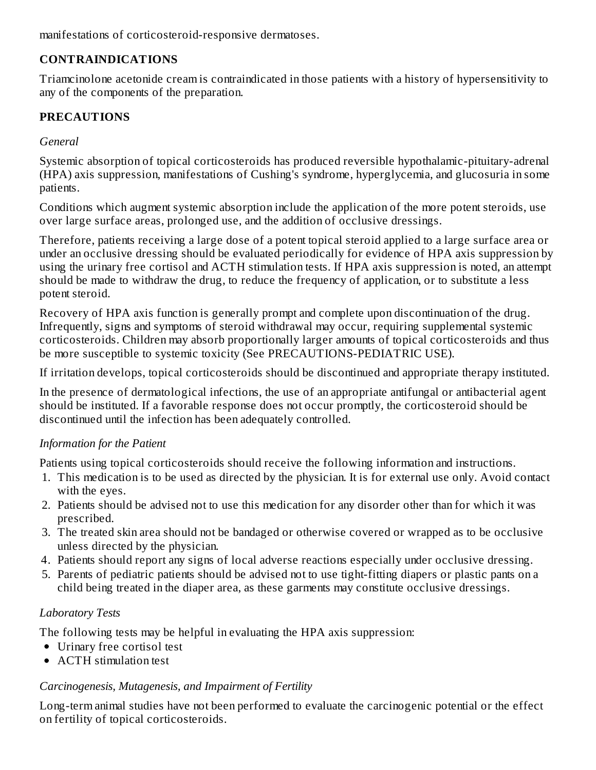manifestations of corticosteroid-responsive dermatoses.

# **CONTRAINDICATIONS**

Triamcinolone acetonide cream is contraindicated in those patients with a history of hypersensitivity to any of the components of the preparation.

# **PRECAUTIONS**

## *General*

Systemic absorption of topical corticosteroids has produced reversible hypothalamic-pituitary-adrenal (HPA) axis suppression, manifestations of Cushing's syndrome, hyperglycemia, and glucosuria in some patients.

Conditions which augment systemic absorption include the application of the more potent steroids, use over large surface areas, prolonged use, and the addition of occlusive dressings.

Therefore, patients receiving a large dose of a potent topical steroid applied to a large surface area or under an occlusive dressing should be evaluated periodically for evidence of HPA axis suppression by using the urinary free cortisol and ACTH stimulation tests. If HPA axis suppression is noted, an attempt should be made to withdraw the drug, to reduce the frequency of application, or to substitute a less potent steroid.

Recovery of HPA axis function is generally prompt and complete upon discontinuation of the drug. Infrequently, signs and symptoms of steroid withdrawal may occur, requiring supplemental systemic corticosteroids. Children may absorb proportionally larger amounts of topical corticosteroids and thus be more susceptible to systemic toxicity (See PRECAUTIONS-PEDIATRIC USE).

If irritation develops, topical corticosteroids should be discontinued and appropriate therapy instituted.

In the presence of dermatological infections, the use of an appropriate antifungal or antibacterial agent should be instituted. If a favorable response does not occur promptly, the corticosteroid should be discontinued until the infection has been adequately controlled.

# *Information for the Patient*

Patients using topical corticosteroids should receive the following information and instructions.

- 1. This medication is to be used as directed by the physician. It is for external use only. Avoid contact with the eyes.
- 2. Patients should be advised not to use this medication for any disorder other than for which it was prescribed.
- 3. The treated skin area should not be bandaged or otherwise covered or wrapped as to be occlusive unless directed by the physician.
- 4. Patients should report any signs of local adverse reactions especially under occlusive dressing.
- 5. Parents of pediatric patients should be advised not to use tight-fitting diapers or plastic pants on a child being treated in the diaper area, as these garments may constitute occlusive dressings.

# *Laboratory Tests*

The following tests may be helpful in evaluating the HPA axis suppression:

- Urinary free cortisol test
- ACTH stimulation test

# *Carcinogenesis, Mutagenesis, and Impairment of Fertility*

Long-term animal studies have not been performed to evaluate the carcinogenic potential or the effect on fertility of topical corticosteroids.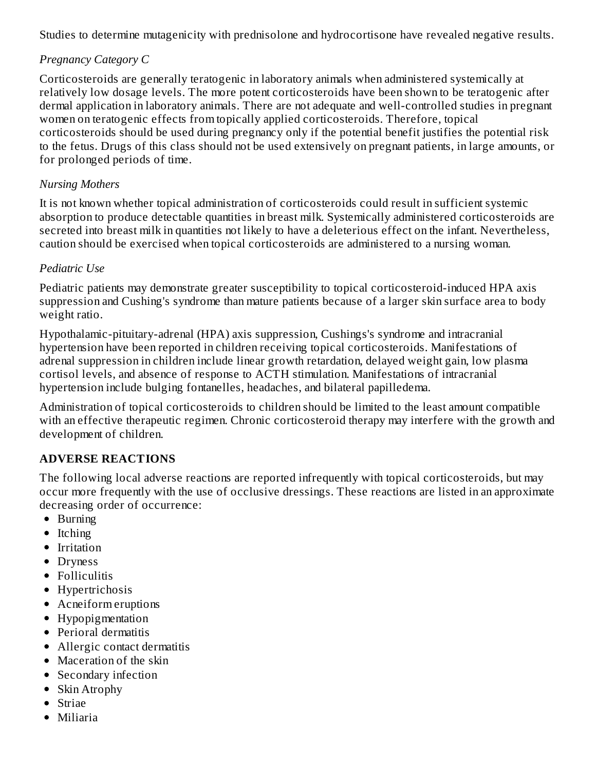Studies to determine mutagenicity with prednisolone and hydrocortisone have revealed negative results.

# *Pregnancy Category C*

Corticosteroids are generally teratogenic in laboratory animals when administered systemically at relatively low dosage levels. The more potent corticosteroids have been shown to be teratogenic after dermal application in laboratory animals. There are not adequate and well-controlled studies in pregnant women on teratogenic effects from topically applied corticosteroids. Therefore, topical corticosteroids should be used during pregnancy only if the potential benefit justifies the potential risk to the fetus. Drugs of this class should not be used extensively on pregnant patients, in large amounts, or for prolonged periods of time.

## *Nursing Mothers*

It is not known whether topical administration of corticosteroids could result in sufficient systemic absorption to produce detectable quantities in breast milk. Systemically administered corticosteroids are secreted into breast milk in quantities not likely to have a deleterious effect on the infant. Nevertheless, caution should be exercised when topical corticosteroids are administered to a nursing woman.

# *Pediatric Use*

Pediatric patients may demonstrate greater susceptibility to topical corticosteroid-induced HPA axis suppression and Cushing's syndrome than mature patients because of a larger skin surface area to body weight ratio.

Hypothalamic-pituitary-adrenal (HPA) axis suppression, Cushings's syndrome and intracranial hypertension have been reported in children receiving topical corticosteroids. Manifestations of adrenal suppression in children include linear growth retardation, delayed weight gain, low plasma cortisol levels, and absence of response to ACTH stimulation. Manifestations of intracranial hypertension include bulging fontanelles, headaches, and bilateral papilledema.

Administration of topical corticosteroids to children should be limited to the least amount compatible with an effective therapeutic regimen. Chronic corticosteroid therapy may interfere with the growth and development of children.

# **ADVERSE REACTIONS**

The following local adverse reactions are reported infrequently with topical corticosteroids, but may occur more frequently with the use of occlusive dressings. These reactions are listed in an approximate decreasing order of occurrence:

- Burning
- Itching
- Irritation
- Dryness
- Folliculitis
- Hypertrichosis
- Acneiform eruptions
- Hypopigmentation
- Perioral dermatitis
- Allergic contact dermatitis
- Maceration of the skin
- Secondary infection
- Skin Atrophy
- Striae
- Miliaria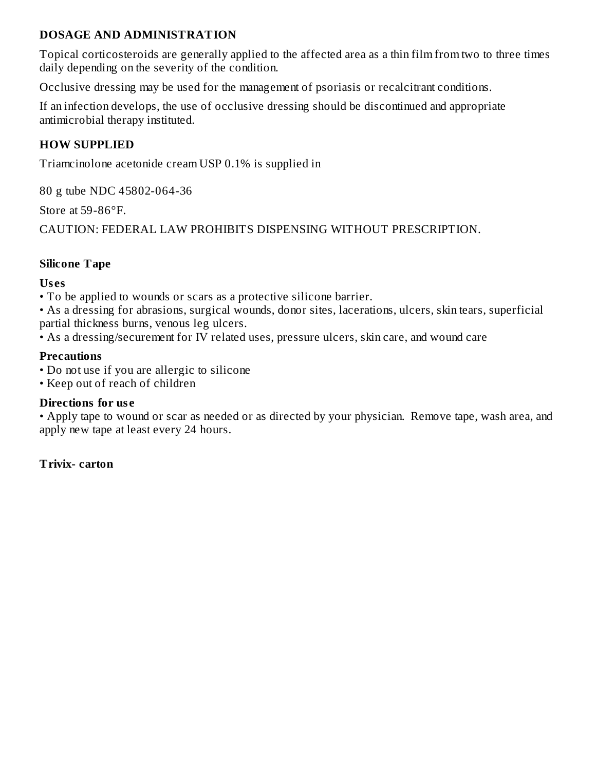### **DOSAGE AND ADMINISTRATION**

Topical corticosteroids are generally applied to the affected area as a thin film from two to three times daily depending on the severity of the condition.

Occlusive dressing may be used for the management of psoriasis or recalcitrant conditions.

If an infection develops, the use of occlusive dressing should be discontinued and appropriate antimicrobial therapy instituted.

## **HOW SUPPLIED**

Triamcinolone acetonide cream USP 0.1% is supplied in

80 g tube NDC 45802-064-36

Store at 59-86°F.

CAUTION: FEDERAL LAW PROHIBITS DISPENSING WITHOUT PRESCRIPTION.

### **Silicone Tape**

#### **Us es**

• To be applied to wounds or scars as a protective silicone barrier.

• As a dressing for abrasions, surgical wounds, donor sites, lacerations, ulcers, skin tears, superficial partial thickness burns, venous leg ulcers.

• As a dressing/securement for IV related uses, pressure ulcers, skin care, and wound care

#### **Precautions**

• Do not use if you are allergic to silicone

• Keep out of reach of children

### **Directions for us e**

• Apply tape to wound or scar as needed or as directed by your physician. Remove tape, wash area, and apply new tape at least every 24 hours.

### **Trivix- carton**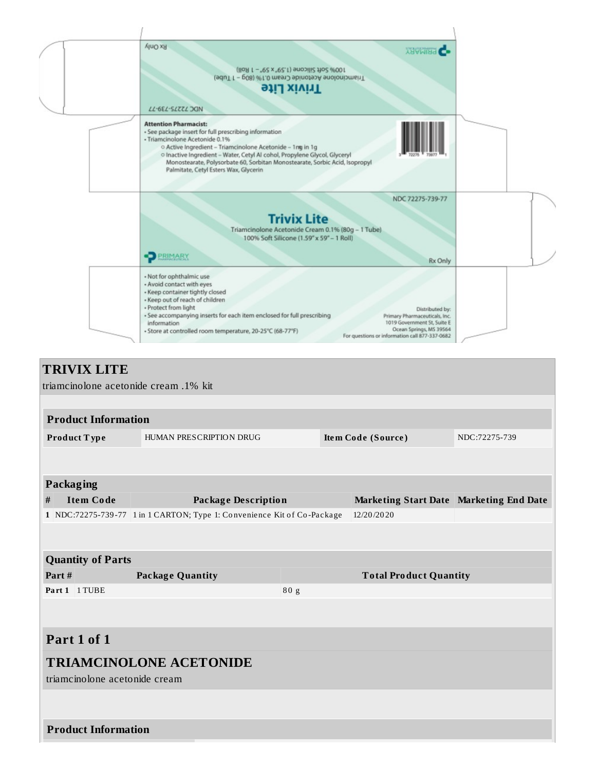

# **TRIVIX LITE**

triamcinolone acetonide cream .1% kit

|                                                                 | <b>Product Information</b>                                        |                                                                         |      |                           |                                         |               |  |  |
|-----------------------------------------------------------------|-------------------------------------------------------------------|-------------------------------------------------------------------------|------|---------------------------|-----------------------------------------|---------------|--|--|
| Product Type                                                    |                                                                   | HUMAN PRESCRIPTION DRUG                                                 |      | <b>Item Code (Source)</b> |                                         | NDC:72275-739 |  |  |
|                                                                 |                                                                   |                                                                         |      |                           |                                         |               |  |  |
|                                                                 |                                                                   |                                                                         |      |                           |                                         |               |  |  |
|                                                                 | <b>Packaging</b>                                                  |                                                                         |      |                           |                                         |               |  |  |
| #                                                               | <b>Item Code</b>                                                  | <b>Package Description</b>                                              |      |                           | Marketing Start Date Marketing End Date |               |  |  |
|                                                                 |                                                                   | 1 NDC:72275-739-77 1 in 1 CARTON; Type 1: Convenience Kit of Co-Package |      |                           | 12/20/2020                              |               |  |  |
|                                                                 |                                                                   |                                                                         |      |                           |                                         |               |  |  |
|                                                                 | <b>Quantity of Parts</b>                                          |                                                                         |      |                           |                                         |               |  |  |
|                                                                 | Part#<br><b>Package Quantity</b><br><b>Total Product Quantity</b> |                                                                         |      |                           |                                         |               |  |  |
|                                                                 | Part 1 1 TUBE                                                     |                                                                         | 80 g |                           |                                         |               |  |  |
|                                                                 |                                                                   |                                                                         |      |                           |                                         |               |  |  |
|                                                                 |                                                                   |                                                                         |      |                           |                                         |               |  |  |
| Part 1 of 1                                                     |                                                                   |                                                                         |      |                           |                                         |               |  |  |
| <b>TRIAMCINOLONE ACETONIDE</b><br>triamcinolone acetonide cream |                                                                   |                                                                         |      |                           |                                         |               |  |  |
|                                                                 |                                                                   |                                                                         |      |                           |                                         |               |  |  |
|                                                                 | <b>Product Information</b>                                        |                                                                         |      |                           |                                         |               |  |  |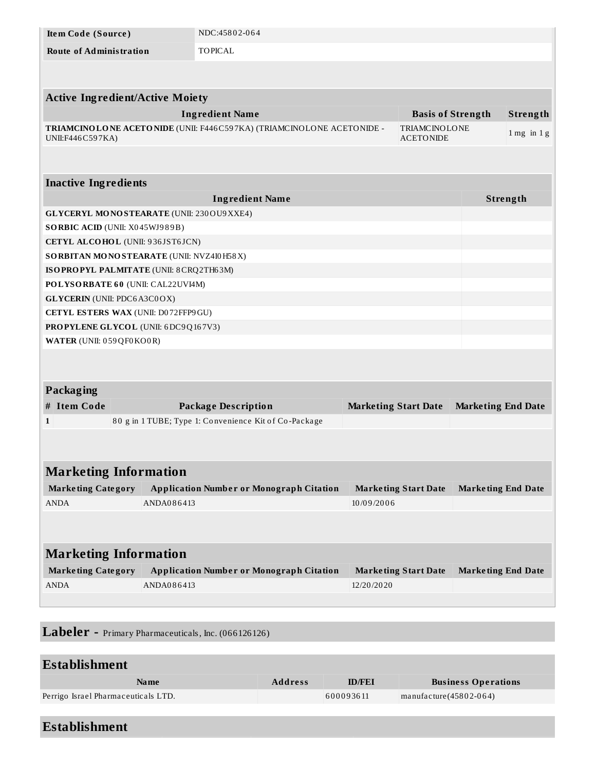| Item Code (Source)                                                                                                                       |                                                  |            | NDC:45802-064                                         |  |                             |                             |                           |          |
|------------------------------------------------------------------------------------------------------------------------------------------|--------------------------------------------------|------------|-------------------------------------------------------|--|-----------------------------|-----------------------------|---------------------------|----------|
|                                                                                                                                          | <b>Route of Administration</b><br><b>TOPICAL</b> |            |                                                       |  |                             |                             |                           |          |
|                                                                                                                                          |                                                  |            |                                                       |  |                             |                             |                           |          |
|                                                                                                                                          |                                                  |            |                                                       |  |                             |                             |                           |          |
| <b>Active Ingredient/Active Moiety</b>                                                                                                   |                                                  |            |                                                       |  |                             |                             |                           |          |
|                                                                                                                                          |                                                  |            | <b>Ingredient Name</b>                                |  |                             | <b>Basis of Strength</b>    |                           | Strength |
| TRIAMCINOLONE ACETONIDE (UNII: F446C597KA) (TRIAMCINOLONE ACETONIDE -<br><b>TRIAMCINOLONE</b><br><b>ACETONIDE</b><br>UNII:F446 C59 7 KA) |                                                  |            |                                                       |  |                             |                             | $1$ mg in $1$ g           |          |
|                                                                                                                                          |                                                  |            |                                                       |  |                             |                             |                           |          |
|                                                                                                                                          |                                                  |            |                                                       |  |                             |                             |                           |          |
| <b>Inactive Ingredients</b>                                                                                                              |                                                  |            |                                                       |  |                             |                             |                           |          |
|                                                                                                                                          |                                                  |            | <b>Ingredient Name</b>                                |  |                             |                             |                           | Strength |
| <b>GLYCERYL MONOSTEARATE (UNII: 230 OU9 XXE4)</b>                                                                                        |                                                  |            |                                                       |  |                             |                             |                           |          |
| SORBIC ACID (UNII: X045WJ989B)                                                                                                           |                                                  |            |                                                       |  |                             |                             |                           |          |
| CETYL ALCOHOL (UNII: 936JST6JCN)                                                                                                         |                                                  |            |                                                       |  |                             |                             |                           |          |
| SORBITAN MONOSTEARATE (UNII: NVZ4I0H58X)                                                                                                 |                                                  |            |                                                       |  |                             |                             |                           |          |
| ISOPROPYL PALMITATE (UNII: 8 CRQ2TH63M)<br>POLYSORBATE 60 (UNII: CAL22UVI4M)                                                             |                                                  |            |                                                       |  |                             |                             |                           |          |
| <b>GLYCERIN</b> (UNII: PDC6A3C0OX)                                                                                                       |                                                  |            |                                                       |  |                             |                             |                           |          |
| CETYL ESTERS WAX (UNII: D072FFP9GU)                                                                                                      |                                                  |            |                                                       |  |                             |                             |                           |          |
| <b>PROPYLENE GLYCOL</b> (UNII: 6DC9Q167V3)                                                                                               |                                                  |            |                                                       |  |                             |                             |                           |          |
| WATER (UNII: 059QF0KO0R)                                                                                                                 |                                                  |            |                                                       |  |                             |                             |                           |          |
|                                                                                                                                          |                                                  |            |                                                       |  |                             |                             |                           |          |
|                                                                                                                                          |                                                  |            |                                                       |  |                             |                             |                           |          |
| <b>Packaging</b>                                                                                                                         |                                                  |            |                                                       |  |                             |                             |                           |          |
| # Item Code                                                                                                                              |                                                  |            | <b>Package Description</b>                            |  | <b>Marketing Start Date</b> |                             | <b>Marketing End Date</b> |          |
| $\mathbf{1}$                                                                                                                             |                                                  |            | 80 g in 1 TUBE; Type 1: Convenience Kit of Co-Package |  |                             |                             |                           |          |
|                                                                                                                                          |                                                  |            |                                                       |  |                             |                             |                           |          |
|                                                                                                                                          |                                                  |            |                                                       |  |                             |                             |                           |          |
| <b>Marketing Information</b>                                                                                                             |                                                  |            |                                                       |  |                             |                             |                           |          |
| <b>Marketing Category</b>                                                                                                                |                                                  |            | <b>Application Number or Monograph Citation</b>       |  |                             | <b>Marketing Start Date</b> | <b>Marketing End Date</b> |          |
| <b>ANDA</b>                                                                                                                              |                                                  | ANDA086413 |                                                       |  | 10/09/2006                  |                             |                           |          |
|                                                                                                                                          |                                                  |            |                                                       |  |                             |                             |                           |          |
|                                                                                                                                          |                                                  |            |                                                       |  |                             |                             |                           |          |
|                                                                                                                                          |                                                  |            |                                                       |  |                             |                             |                           |          |
| <b>Marketing Information</b>                                                                                                             |                                                  |            |                                                       |  |                             |                             |                           |          |
| <b>Marketing Category</b>                                                                                                                |                                                  |            | <b>Application Number or Monograph Citation</b>       |  |                             | <b>Marketing Start Date</b> | <b>Marketing End Date</b> |          |
| <b>ANDA</b>                                                                                                                              |                                                  | ANDA086413 |                                                       |  | 12/20/2020                  |                             |                           |          |
|                                                                                                                                          |                                                  |            |                                                       |  |                             |                             |                           |          |

**Labeler -** Primary Pharmaceuticals, Inc. (066126126)

| Establishment                       |                |               |                            |  |  |
|-------------------------------------|----------------|---------------|----------------------------|--|--|
| Name                                | <b>Address</b> | <b>ID/FEI</b> | <b>Business Operations</b> |  |  |
| Perrigo Israel Pharmaceuticals LTD. |                | 600093611     | $maxfactor(45802-064)$     |  |  |
|                                     |                |               |                            |  |  |

| <b>Establishment</b> |  |  |
|----------------------|--|--|
|                      |  |  |